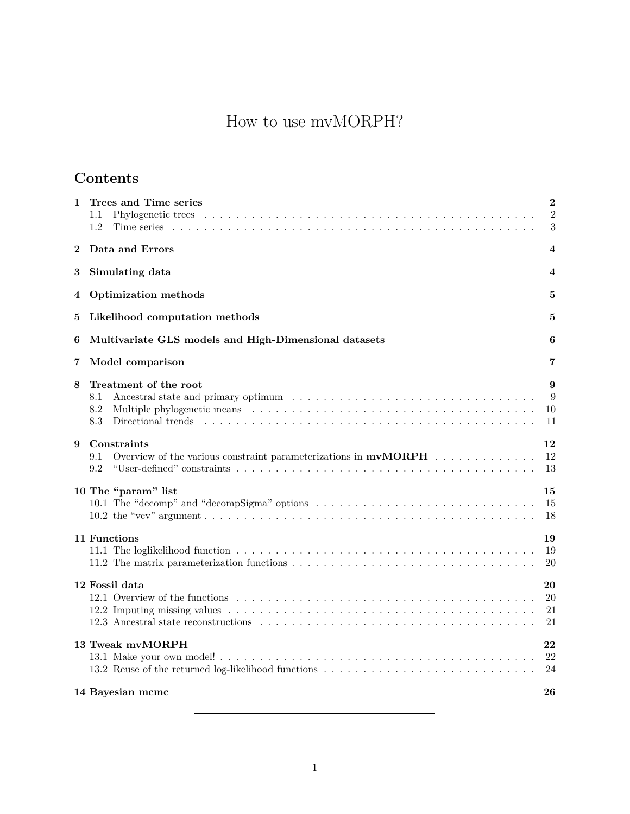# How to use mvMORPH?

## **Contents**

| 1        | Trees and Time series<br>$1.1\,$<br>1.2                                                                 | $\bf{2}$<br>$\overline{2}$<br>3 |  |  |  |  |  |
|----------|---------------------------------------------------------------------------------------------------------|---------------------------------|--|--|--|--|--|
| $\bf{2}$ | Data and Errors                                                                                         |                                 |  |  |  |  |  |
| 3        | Simulating data<br>4                                                                                    |                                 |  |  |  |  |  |
| 4        | Optimization methods                                                                                    |                                 |  |  |  |  |  |
| 5        | Likelihood computation methods                                                                          |                                 |  |  |  |  |  |
| 6        | Multivariate GLS models and High-Dimensional datasets                                                   |                                 |  |  |  |  |  |
| 7        | Model comparison<br>7                                                                                   |                                 |  |  |  |  |  |
| 8        | Treatment of the root<br>8.1<br>8.2<br>8.3                                                              | 9<br>9<br>10<br>11              |  |  |  |  |  |
| 9        | Constraints<br>9.1<br>Overview of the various constraint parameterizations in $\mathbf{mvMORPH}$<br>9.2 | 12<br>12<br>13                  |  |  |  |  |  |
|          | 10 The "param" list                                                                                     | 15<br>15<br>18                  |  |  |  |  |  |
|          | 11 Functions                                                                                            | 19<br>19<br>20                  |  |  |  |  |  |
|          | 12 Fossil data                                                                                          | 20<br>20<br>21<br>21            |  |  |  |  |  |
|          | 13 Tweak mvMORPH                                                                                        | 22<br>22<br>24                  |  |  |  |  |  |
|          | 14 Bayesian mcmc                                                                                        | 26                              |  |  |  |  |  |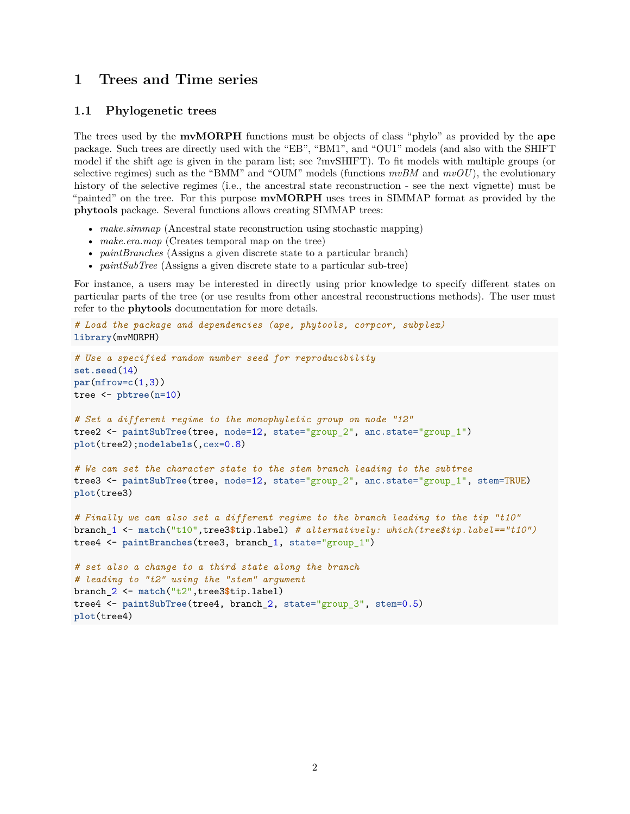### <span id="page-1-0"></span>**1 Trees and Time series**

#### <span id="page-1-1"></span>**1.1 Phylogenetic trees**

The trees used by the **mvMORPH** functions must be objects of class "phylo" as provided by the **ape** package. Such trees are directly used with the "EB", "BM1", and "OU1" models (and also with the SHIFT model if the shift age is given in the param list; see ?mvSHIFT). To fit models with multiple groups (or selective regimes) such as the "BMM" and "OUM" models (functions *mvBM* and *mvOU*), the evolutionary history of the selective regimes (i.e., the ancestral state reconstruction - see the next vignette) must be "painted" on the tree. For this purpose **mvMORPH** uses trees in SIMMAP format as provided by the **phytools** package. Several functions allows creating SIMMAP trees:

- *make.simmap* (Ancestral state reconstruction using stochastic mapping)
- *make.era.map* (Creates temporal map on the tree)
- *paintBranches* (Assigns a given discrete state to a particular branch)
- *paintSubTree* (Assigns a given discrete state to a particular sub-tree)

For instance, a users may be interested in directly using prior knowledge to specify different states on particular parts of the tree (or use results from other ancestral reconstructions methods). The user must refer to the **phytools** documentation for more details.

```
# Load the package and dependencies (ape, phytools, corpcor, subplex)
library(mvMORPH)
# Use a specified random number seed for reproducibility
set.seed(14)
par(mfrow=c(1,3))
tree <- pbtree(n=10)
# Set a different regime to the monophyletic group on node "12"
tree2 <- paintSubTree(tree, node=12, state="group_2", anc.state="group_1")
plot(tree2);nodelabels(,cex=0.8)
# We can set the character state to the stem branch leading to the subtree
tree3 <- paintSubTree(tree, node=12, state="group_2", anc.state="group_1", stem=TRUE)
plot(tree3)
# Finally we can also set a different regime to the branch leading to the tip "t10"
branch_1 <- match("t10",tree3$tip.label) # alternatively: which(tree$tip.label=="t10")
tree4 <- paintBranches(tree3, branch_1, state="group_1")
# set also a change to a third state along the branch
# leading to "t2" using the "stem" argument
branch_2 <- match("t2",tree3$tip.label)
tree4 <- paintSubTree(tree4, branch_2, state="group_3", stem=0.5)
```
**plot**(tree4)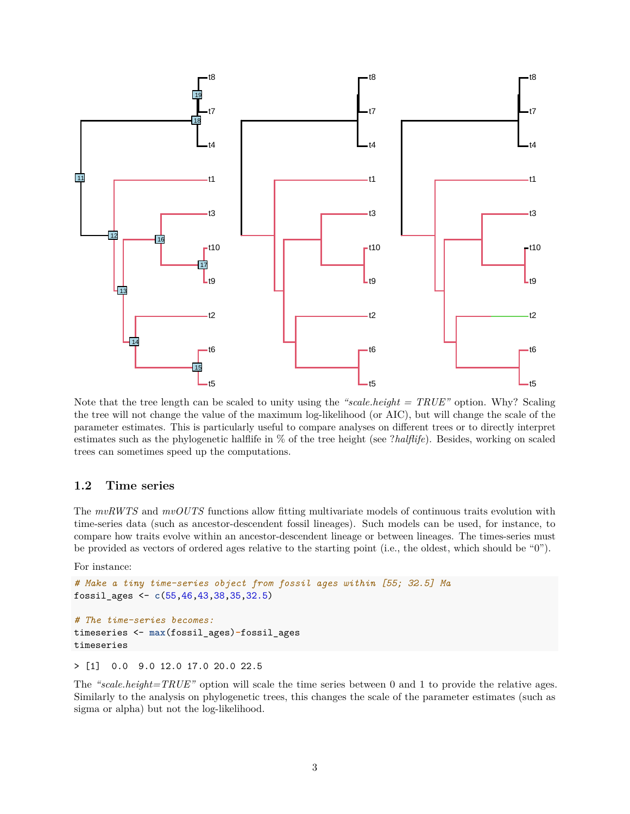

Note that the tree length can be scaled to unity using the *"scale.height = TRUE"* option. Why? Scaling the tree will not change the value of the maximum log-likelihood (or AIC), but will change the scale of the parameter estimates. This is particularly useful to compare analyses on different trees or to directly interpret estimates such as the phylogenetic halflife in % of the tree height (see ?*halflife*). Besides, working on scaled trees can sometimes speed up the computations.

#### <span id="page-2-0"></span>**1.2 Time series**

The *mvRWTS* and *mvOUTS* functions allow fitting multivariate models of continuous traits evolution with time-series data (such as ancestor-descendent fossil lineages). Such models can be used, for instance, to compare how traits evolve within an ancestor-descendent lineage or between lineages. The times-series must be provided as vectors of ordered ages relative to the starting point (i.e., the oldest, which should be "0").

For instance:

```
# Make a tiny time-series object from fossil ages within [55; 32.5] Ma
fossil_ages <- c(55,46,43,38,35,32.5)
```

```
# The time-series becomes:
timeseries <- max(fossil_ages)-fossil_ages
timeseries
```
> [1] 0.0 9.0 12.0 17.0 20.0 22.5

The *"scale.height=TRUE"* option will scale the time series between 0 and 1 to provide the relative ages. Similarly to the analysis on phylogenetic trees, this changes the scale of the parameter estimates (such as sigma or alpha) but not the log-likelihood.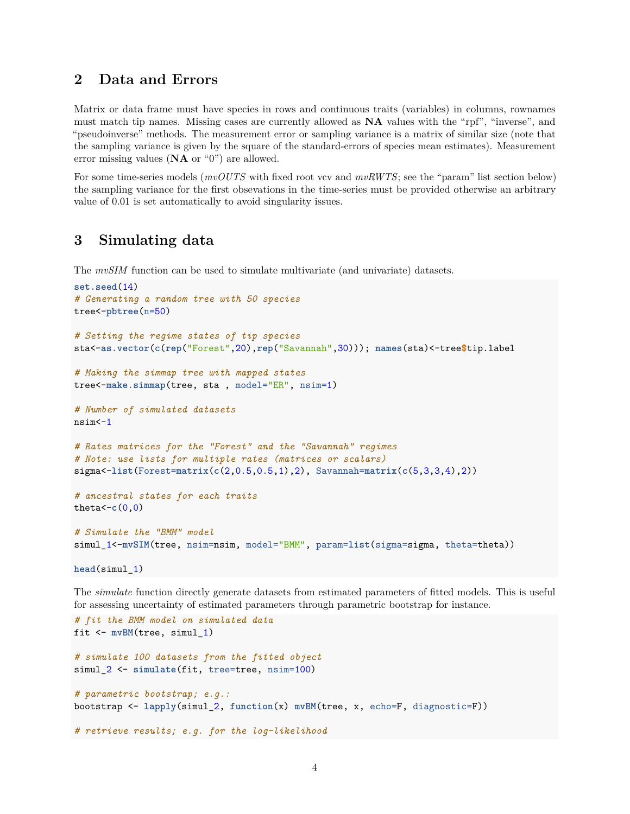### <span id="page-3-0"></span>**2 Data and Errors**

Matrix or data frame must have species in rows and continuous traits (variables) in columns, rownames must match tip names. Missing cases are currently allowed as **NA** values with the "rpf", "inverse", and "pseudoinverse" methods. The measurement error or sampling variance is a matrix of similar size (note that the sampling variance is given by the square of the standard-errors of species mean estimates). Measurement error missing values (**NA** or "0") are allowed.

For some time-series models (*mvOUTS* with fixed root vcv and *mvRWTS*; see the "param" list section below) the sampling variance for the first obsevations in the time-series must be provided otherwise an arbitrary value of 0.01 is set automatically to avoid singularity issues.

### <span id="page-3-1"></span>**3 Simulating data**

The *mvSIM* function can be used to simulate multivariate (and univariate) datasets.

```
set.seed(14)
# Generating a random tree with 50 species
tree<-pbtree(n=50)
# Setting the regime states of tip species
sta<-as.vector(c(rep("Forest",20),rep("Savannah",30))); names(sta)<-tree$tip.label
# Making the simmap tree with mapped states
tree<-make.simmap(tree, sta , model="ER", nsim=1)
# Number of simulated datasets
nsim<-1
# Rates matrices for the "Forest" and the "Savannah" regimes
# Note: use lists for multiple rates (matrices or scalars)
sigma<-list(Forest=matrix(c(2,0.5,0.5,1),2), Savannah=matrix(c(5,3,3,4),2))
# ancestral states for each traits
theta< -c(0,0)# Simulate the "BMM" model
simul_1<-mvSIM(tree, nsim=nsim, model="BMM", param=list(sigma=sigma, theta=theta))
```
**head**(simul\_1)

The *simulate* function directly generate datasets from estimated parameters of fitted models. This is useful for assessing uncertainty of estimated parameters through parametric bootstrap for instance.

```
# fit the BMM model on simulated data
fit <- mvBM(tree, simul_1)
# simulate 100 datasets from the fitted object
simul_2 <- simulate(fit, tree=tree, nsim=100)
# parametric bootstrap; e.g.:
bootstrap <- lapply(simul_2, function(x) mvBM(tree, x, echo=F, diagnostic=F))
# retrieve results; e.g. for the log-likelihood
```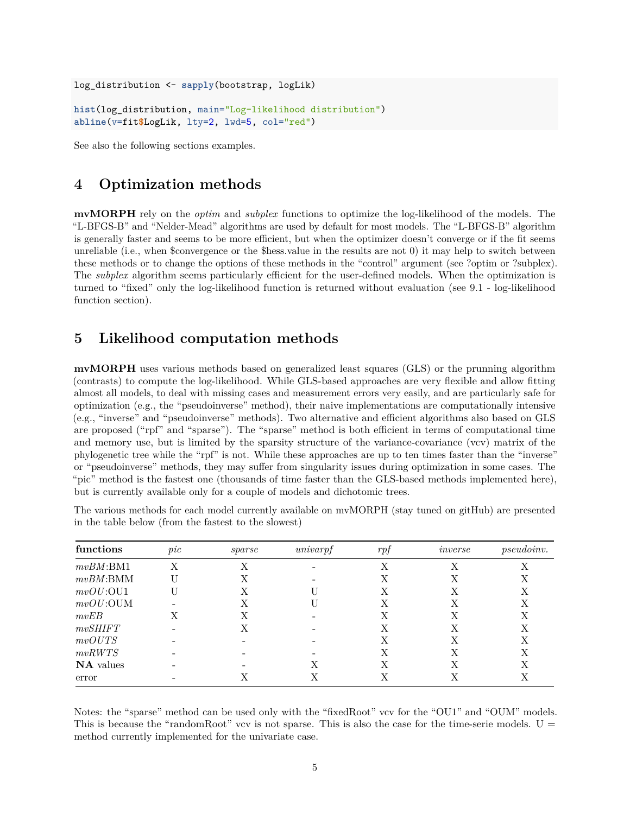log\_distribution <- **sapply**(bootstrap, logLik)

```
hist(log_distribution, main="Log-likelihood distribution")
abline(v=fit$LogLik, lty=2, lwd=5, col="red")
```
See also the following sections examples.

### <span id="page-4-0"></span>**4 Optimization methods**

**mvMORPH** rely on the *optim* and *subplex* functions to optimize the log-likelihood of the models. The "L-BFGS-B" and "Nelder-Mead" algorithms are used by default for most models. The "L-BFGS-B" algorithm is generally faster and seems to be more efficient, but when the optimizer doesn't converge or if the fit seems unreliable (i.e., when \$convergence or the \$hess.value in the results are not 0) it may help to switch between these methods or to change the options of these methods in the "control" argument (see ?optim or ?subplex). The *subplex* algorithm seems particularly efficient for the user-defined models. When the optimization is turned to "fixed" only the log-likelihood function is returned without evaluation (see 9.1 - log-likelihood function section).

### <span id="page-4-1"></span>**5 Likelihood computation methods**

**mvMORPH** uses various methods based on generalized least squares (GLS) or the prunning algorithm (contrasts) to compute the log-likelihood. While GLS-based approaches are very flexible and allow fitting almost all models, to deal with missing cases and measurement errors very easily, and are particularly safe for optimization (e.g., the "pseudoinverse" method), their naive implementations are computationally intensive (e.g., "inverse" and "pseudoinverse" methods). Two alternative and efficient algorithms also based on GLS are proposed ("rpf" and "sparse"). The "sparse" method is both efficient in terms of computational time and memory use, but is limited by the sparsity structure of the variance-covariance (vcv) matrix of the phylogenetic tree while the "rpf" is not. While these approaches are up to ten times faster than the "inverse" or "pseudoinverse" methods, they may suffer from singularity issues during optimization in some cases. The "pic" method is the fastest one (thousands of time faster than the GLS-based methods implemented here), but is currently available only for a couple of models and dichotomic trees.

The various methods for each model currently available on mvMORPH (stay tuned on gitHub) are presented in the table below (from the fastest to the slowest)

| functions        | pic | sparse | univarpf | rpf | inverse | <i>pseudoinv.</i> |
|------------------|-----|--------|----------|-----|---------|-------------------|
| $mvBM$ : BM1     | Χ   | Х      |          | Х   |         | Х                 |
| $mvBM$ : BMM     | U   | Х      |          | Х   |         | Х                 |
| mvOU:OU1         | U   | Χ      |          | Х   |         | Χ                 |
| $mvOU:$ OUM      |     | Х      |          | Х   |         | Х                 |
| mvEB             | Х   | Х      |          | Х   | Х       | Х                 |
| mvSHIFT          |     | Х      |          | Х   | Х       | Х                 |
| mvOUTS           |     |        |          | Х   | Х       | Х                 |
| mvRWTS           |     |        |          | Х   |         | Х                 |
| <b>NA</b> values |     |        |          | Х   |         | Х                 |
| error            |     |        |          | Χ   |         | Χ                 |

Notes: the "sparse" method can be used only with the "fixedRoot" vcv for the "OU1" and "OUM" models. This is because the "randomRoot" vcv is not sparse. This is also the case for the time-serie models.  $U =$ method currently implemented for the univariate case.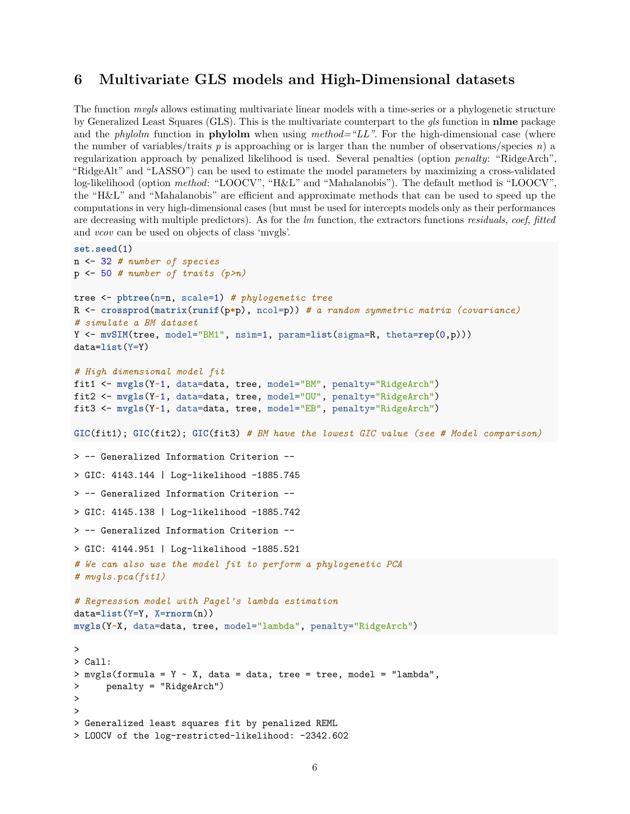### <span id="page-5-0"></span>**6 Multivariate GLS models and High-Dimensional datasets**

The function *mvgls* allows estimating multivariate linear models with a time-series or a phylogenetic structure by Generalized Least Squares (GLS). This is the multivariate counterpart to the *gls* function in **nlme** package and the *phylolm* function in **phylolm** when using *method="LL"*. For the high-dimensional case (where the number of variables/traits  $p$  is approaching or is larger than the number of observations/species  $n$ ) a regularization approach by penalized likelihood is used. Several penalties (option *penalty*: "RidgeArch", "RidgeAlt" and "LASSO") can be used to estimate the model parameters by maximizing a cross-validated log-likelihood (option *method*: "LOOCV", "H&L" and "Mahalanobis"). The default method is "LOOCV", the "H&L" and "Mahalanobis" are efficient and approximate methods that can be used to speed up the computations in very high-dimensional cases (but must be used for intercepts models only as their performances are decreasing with multiple predictors). As for the *lm* function, the extractors functions *residuals*, *coef*, *fitted* and *vcov* can be used on objects of class 'mvgls'.

```
set.seed(1)
n <- 32 # number of species
p <- 50 # number of traits (p>n)
tree <- pbtree(n=n, scale=1) # phylogenetic tree
R <- crossprod(matrix(runif(p*p), ncol=p)) # a random symmetric matrix (covariance)
# simulate a BM dataset
Y <- mvSIM(tree, model="BM1", nsim=1, param=list(sigma=R, theta=rep(0,p)))
data=list(Y=Y)
# High dimensional model fit
fit1 <- mvgls(Y~1, data=data, tree, model="BM", penalty="RidgeArch")
fit2 <- mvgls(Y~1, data=data, tree, model="OU", penalty="RidgeArch")
fit3 <- mvgls(Y~1, data=data, tree, model="EB", penalty="RidgeArch")
GIC(fit1); GIC(fit2); GIC(fit3) # BM have the lowest GIC value (see # Model comparison)
> -- Generalized Information Criterion --
> GIC: 4143.144 | Log-likelihood -1885.745
> -- Generalized Information Criterion --
> GIC: 4145.138 | Log-likelihood -1885.742
> -- Generalized Information Criterion --
> GIC: 4144.951 | Log-likelihood -1885.521
# We can also use the model fit to perform a phylogenetic PCA
# mvgls.pca(fit1)
# Regression model with Pagel's lambda estimation
data=list(Y=Y, X=rnorm(n))
mvgls(Y~X, data=data, tree, model="lambda", penalty="RidgeArch")
>
> Call:
> mvgls(formula = Y \sim X, data = data, tree = tree, model = "lambda",
> penalty = "RidgeArch")
>
>
> Generalized least squares fit by penalized REML
> LOOCV of the log-restricted-likelihood: -2342.602
```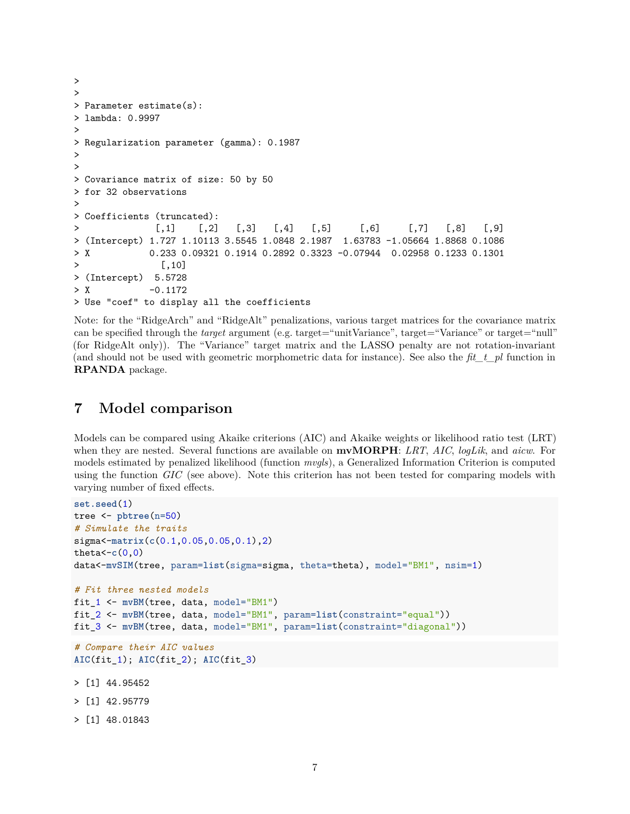```
>
>
> Parameter estimate(s):
> lambda: 0.9997
>
> Regularization parameter (gamma): 0.1987
>
>
> Covariance matrix of size: 50 by 50
> for 32 observations
>
> Coefficients (truncated):
> [,1] [,2] [,3] [,4] [,5] [,6] [,7] [,8] [,9]
> (Intercept) 1.727 1.10113 3.5545 1.0848 2.1987 1.63783 -1.05664 1.8868 0.1086
> X 0.233 0.09321 0.1914 0.2892 0.3323 -0.07944 0.02958 0.1233 0.1301
> [,10]
> (Intercept) 5.5728
> X -0.1172
> Use "coef" to display all the coefficients
```
Note: for the "RidgeArch" and "RidgeAlt" penalizations, various target matrices for the covariance matrix can be specified through the *target* argument (e.g. target="unitVariance", target="Variance" or target="null" (for RidgeAlt only)). The "Variance" target matrix and the LASSO penalty are not rotation-invariant (and should not be used with geometric morphometric data for instance). See also the *fit\_t\_pl* function in **RPANDA** package.

### <span id="page-6-0"></span>**7 Model comparison**

Models can be compared using Akaike criterions (AIC) and Akaike weights or likelihood ratio test (LRT) when they are nested. Several functions are available on **mvMORPH**: *LRT*, *AIC*, *logLik*, and *aicw*. For models estimated by penalized likelihood (function *mvgls*), a Generalized Information Criterion is computed using the function *GIC* (see above). Note this criterion has not been tested for comparing models with varying number of fixed effects.

```
set.seed(1)
tree <- pbtree(n=50)
# Simulate the traits
sigma<-matrix(c(0.1,0.05,0.05,0.1),2)
theta<-c(0,0)
data<-mvSIM(tree, param=list(sigma=sigma, theta=theta), model="BM1", nsim=1)
# Fit three nested models
fit_1 <- mvBM(tree, data, model="BM1")
fit_2 <- mvBM(tree, data, model="BM1", param=list(constraint="equal"))
fit_3 <- mvBM(tree, data, model="BM1", param=list(constraint="diagonal"))
# Compare their AIC values
AIC(fit_1); AIC(fit_2); AIC(fit_3)
> [1] 44.95452
> [1] 42.95779
```
> [1] 48.01843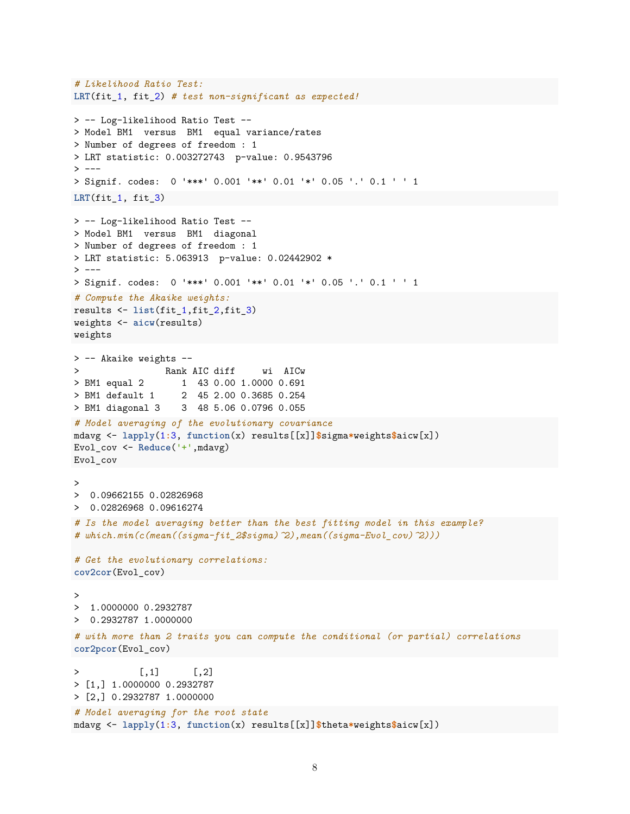```
# Likelihood Ratio Test:
LRT(fit_1, fit_2) # test non-significant as expected!
> -- Log-likelihood Ratio Test --
> Model BM1 versus BM1 equal variance/rates
> Number of degrees of freedom : 1
> LRT statistic: 0.003272743 p-value: 0.9543796
> - - -> Signif. codes: 0 '***' 0.001 '**' 0.01 '*' 0.05 '.' 0.1 ' ' 1
LRT(fit_1, fit_3)
> -- Log-likelihood Ratio Test --
> Model BM1 versus BM1 diagonal
> Number of degrees of freedom : 1
> LRT statistic: 5.063913 p-value: 0.02442902 *
> ---
> Signif. codes: 0 '***' 0.001 '**' 0.01 '*' 0.05 '.' 0.1 ' ' 1
# Compute the Akaike weights:
results <- list(fit_1,fit_2,fit_3)
weights <- aicw(results)
weights
> -- Akaike weights --
> Rank AIC diff wi AICw
> BM1 equal 2 1 43 0.00 1.0000 0.691
> BM1 default 1 2 45 2.00 0.3685 0.254
> BM1 diagonal 3 3 48 5.06 0.0796 0.055
# Model averaging of the evolutionary covariance
mdavg <- lapply(1:3, function(x) results[[x]]$sigma*weights$aicw[x])
Evol_cov <- Reduce('+',mdavg)
Evol_cov
>
> 0.09662155 0.02826968
> 0.02826968 0.09616274
# Is the model averaging better than the best fitting model in this example?
# which.min(c(mean((sigma-fit_2$sigma)^2),mean((sigma-Evol_cov)^2)))
# Get the evolutionary correlations:
cov2cor(Evol_cov)
>
> 1.0000000 0.2932787
> 0.2932787 1.0000000
# with more than 2 traits you can compute the conditional (or partial) correlations
cor2pcor(Evol_cov)
> [1,1] [1,2]> [1,] 1.0000000 0.2932787
> [2,] 0.2932787 1.0000000
# Model averaging for the root state
mdavg <- lapply(1:3, function(x) results[[x]]$theta*weights$aicw[x])
```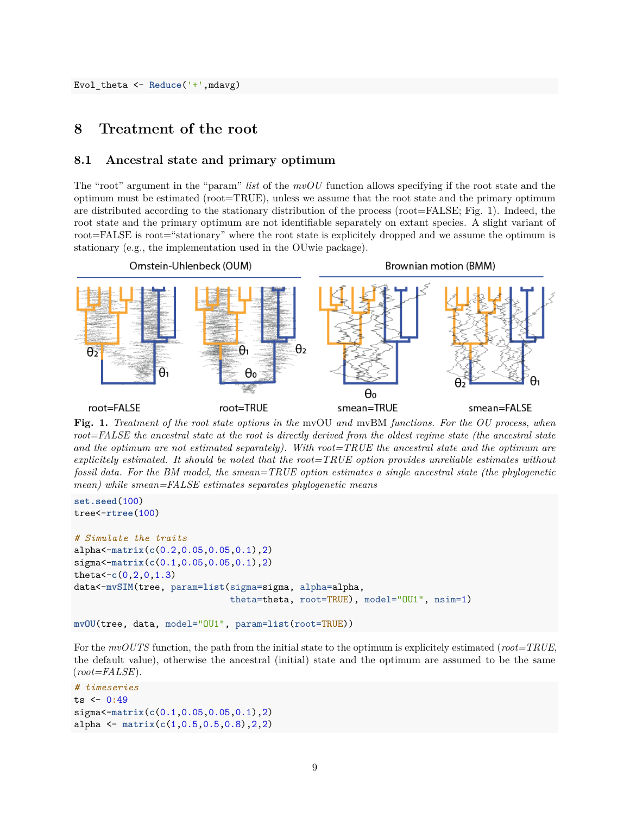### <span id="page-8-0"></span>**8 Treatment of the root**

#### <span id="page-8-1"></span>**8.1 Ancestral state and primary optimum**

The "root" argument in the "param" *list* of the *mvOU* function allows specifying if the root state and the optimum must be estimated (root=TRUE), unless we assume that the root state and the primary optimum are distributed according to the stationary distribution of the process (root=FALSE; Fig. 1). Indeed, the root state and the primary optimum are not identifiable separately on extant species. A slight variant of root=FALSE is root="stationary" where the root state is explicitely dropped and we assume the optimum is stationary (e.g., the implementation used in the OUwie package).



**Fig. 1.** *Treatment of the root state options in the* mvOU *and* mvBM *functions. For the OU process, when root=FALSE the ancestral state at the root is directly derived from the oldest regime state (the ancestral state and the optimum are not estimated separately). With root=TRUE the ancestral state and the optimum are explicitely estimated. It should be noted that the root=TRUE option provides unreliable estimates without fossil data. For the BM model, the smean=TRUE option estimates a single ancestral state (the phylogenetic mean) while smean=FALSE estimates separates phylogenetic means*

```
set.seed(100)
tree<-rtree(100)
# Simulate the traits
alpha<-matrix(c(0.2,0.05,0.05,0.1),2)
sigma<-matrix(c(0.1,0.05,0.05,0.1),2)
theta<-c(0,2,0,1.3)
data<-mvSIM(tree, param=list(sigma=sigma, alpha=alpha,
                             theta=theta, root=TRUE), model="OU1", nsim=1)
```

```
mvOU(tree, data, model="OU1", param=list(root=TRUE))
```

```
For the mvOUTS function, the path from the initial state to the optimum is explicitely estimated (root=TRUE,
the default value), otherwise the ancestral (initial) state and the optimum are assumed to be the same
(root=FALSE).
```

```
# timeseries
ts <- 0:49
sigma<-matrix(c(0.1,0.05,0.05,0.1),2)
alpha <- matrix(c(1,0.5,0.5,0.8),2,2)
```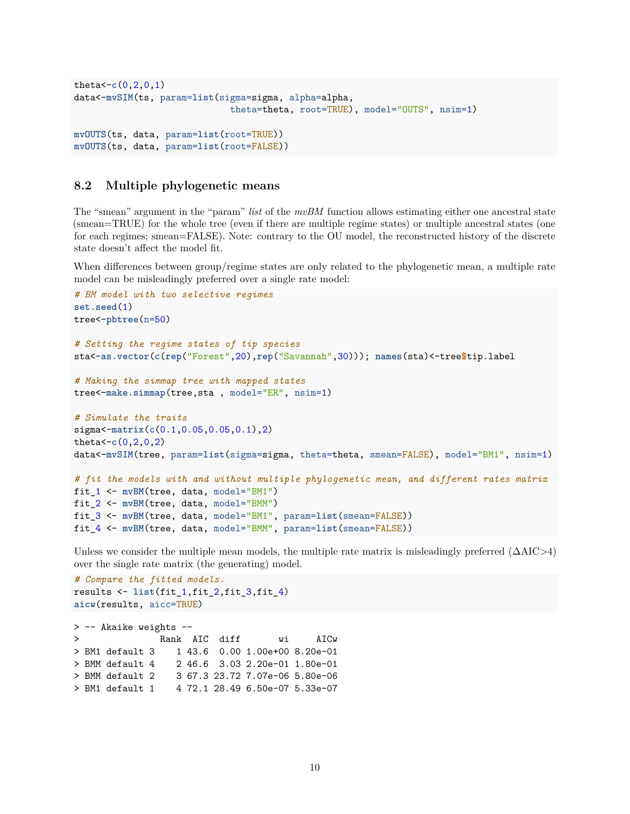```
theta<-c(0,2,0,1)
data<-mvSIM(ts, param=list(sigma=sigma, alpha=alpha,
                             theta=theta, root=TRUE), model="OUTS", nsim=1)
mvOUTS(ts, data, param=list(root=TRUE))
mvOUTS(ts, data, param=list(root=FALSE))
```
#### <span id="page-9-0"></span>**8.2 Multiple phylogenetic means**

The "smean" argument in the "param" *list* of the *mvBM* function allows estimating either one ancestral state (smean=TRUE) for the whole tree (even if there are multiple regime states) or multiple ancestral states (one for each regimes; smean=FALSE). Note: contrary to the OU model, the reconstructed history of the discrete state doesn't affect the model fit.

When differences between group/regime states are only related to the phylogenetic mean, a multiple rate model can be misleadingly preferred over a single rate model:

```
# BM model with two selective regimes
set.seed(1)
tree<-pbtree(n=50)
# Setting the regime states of tip species
sta<-as.vector(c(rep("Forest",20),rep("Savannah",30))); names(sta)<-tree$tip.label
# Making the simmap tree with mapped states
tree<-make.simmap(tree,sta , model="ER", nsim=1)
# Simulate the traits
sigma<-matrix(c(0.1,0.05,0.05,0.1),2)
theta<-c(0,2,0,2)
data<-mvSIM(tree, param=list(sigma=sigma, theta=theta, smean=FALSE), model="BM1", nsim=1)
# fit the models with and without multiple phylogenetic mean, and different rates matrix
fit_1 <- mvBM(tree, data, model="BM1")
fit_2 <- mvBM(tree, data, model="BMM")
fit_3 <- mvBM(tree, data, model="BM1", param=list(smean=FALSE))
fit_4 <- mvBM(tree, data, model="BMM", param=list(smean=FALSE))
```
Unless we consider the multiple mean models, the multiple rate matrix is misleadingly preferred  $(∆AIC>4)$ over the single rate matrix (the generating) model.

```
# Compare the fitted models.
results <- list(fit_1,fit_2,fit_3,fit_4)
aicw(results, aicc=TRUE)
```
> -- Akaike weights -- > Rank AIC diff wi AICw > BM1 default 3 1 43.6 0.00 1.00e+00 8.20e-01 > BMM default 4 2 46.6 3.03 2.20e-01 1.80e-01 > BMM default 2 3 67.3 23.72 7.07e-06 5.80e-06 > BM1 default 1 4 72.1 28.49 6.50e-07 5.33e-07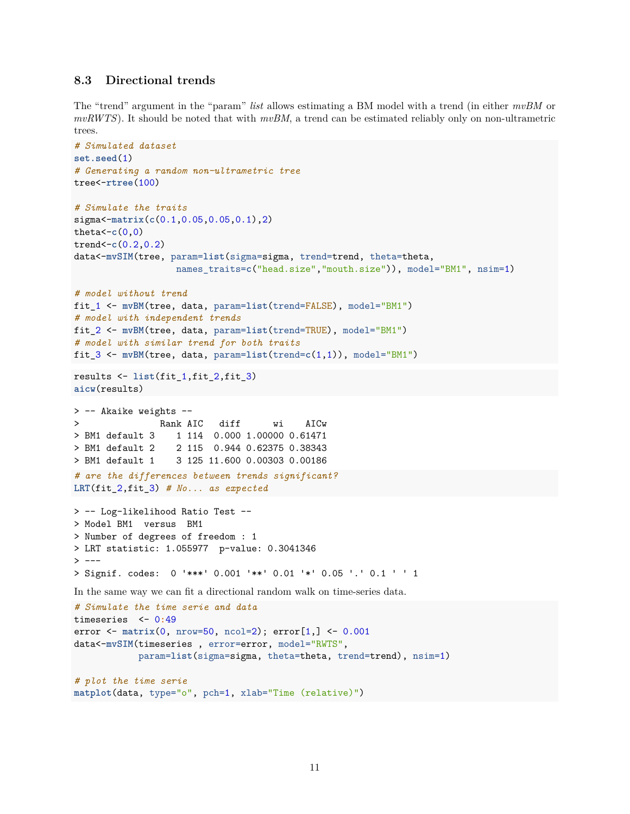#### <span id="page-10-0"></span>**8.3 Directional trends**

The "trend" argument in the "param" *list* allows estimating a BM model with a trend (in either *mvBM* or *mvRWTS*). It should be noted that with *mvBM*, a trend can be estimated reliably only on non-ultrametric trees.

```
# Simulated dataset
set.seed(1)
# Generating a random non-ultrametric tree
tree<-rtree(100)
# Simulate the traits
sigma<-matrix(c(0.1,0.05,0.05,0.1),2)
theta<-c(0,0)
trend<-c(0.2,0.2)
data<-mvSIM(tree, param=list(sigma=sigma, trend=trend, theta=theta,
                  names_traits=c("head.size","mouth.size")), model="BM1", nsim=1)
# model without trend
fit_1 <- mvBM(tree, data, param=list(trend=FALSE), model="BM1")
# model with independent trends
fit_2 <- mvBM(tree, data, param=list(trend=TRUE), model="BM1")
# model with similar trend for both traits
fit_3 <- mvBM(tree, data, param=list(trend=c(1,1)), model="BM1")
results <- list(fit_1,fit_2,fit_3)
aicw(results)
> -- Akaike weights --
> Rank AIC diff wi AICw
> BM1 default 3 1 114 0.000 1.00000 0.61471
> BM1 default 2 2 115 0.944 0.62375 0.38343
> BM1 default 1 3 125 11.600 0.00303 0.00186
# are the differences between trends significant?
LRT(fit_2,fit_3) # No... as expected
> -- Log-likelihood Ratio Test --
> Model BM1 versus BM1
> Number of degrees of freedom : 1
> LRT statistic: 1.055977 p-value: 0.3041346
> ---
> Signif. codes: 0 '***' 0.001 '**' 0.01 '*' 0.05 '.' 0.1 ' ' 1
```
In the same way we can fit a directional random walk on time-series data.

```
# Simulate the time serie and data
timeseries <- 0:49
error <- matrix(0, nrow=50, ncol=2); error[1,] <- 0.001
data<-mvSIM(timeseries , error=error, model="RWTS",
            param=list(sigma=sigma, theta=theta, trend=trend), nsim=1)
# plot the time serie
matplot(data, type="o", pch=1, xlab="Time (relative)")
```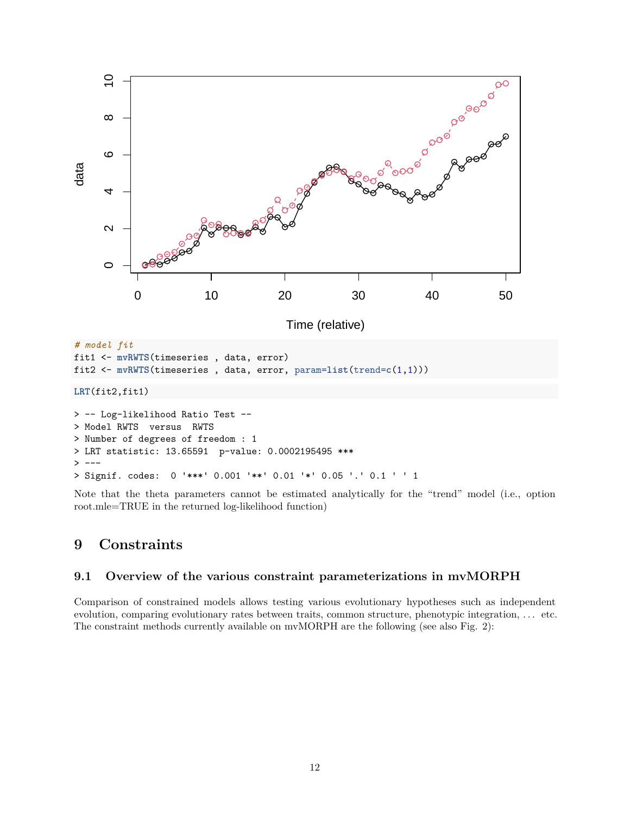

Note that the theta parameters cannot be estimated analytically for the "trend" model (i.e., option root.mle=TRUE in the returned log-likelihood function)

### <span id="page-11-0"></span>**9 Constraints**

#### <span id="page-11-1"></span>**9.1 Overview of the various constraint parameterizations in mvMORPH**

Comparison of constrained models allows testing various evolutionary hypotheses such as independent evolution, comparing evolutionary rates between traits, common structure, phenotypic integration, . . . etc. The constraint methods currently available on mvMORPH are the following (see also Fig. 2):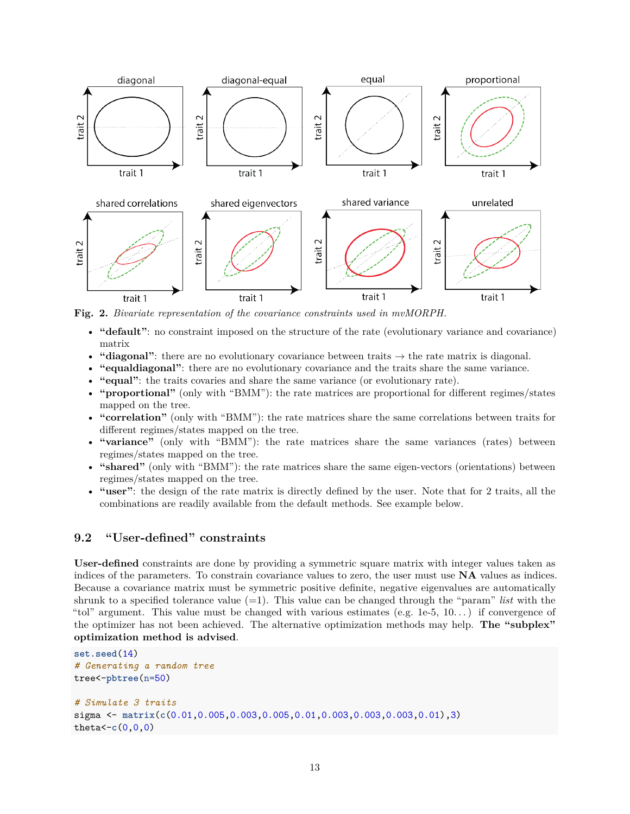

**Fig. 2.** *Bivariate representation of the covariance constraints used in mvMORPH.*

- **"default"**: no constraint imposed on the structure of the rate (evolutionary variance and covariance) matrix
- **"diagonal"**: there are no evolutionary covariance between traits  $\rightarrow$  the rate matrix is diagonal.
- **"equaldiagonal"**: there are no evolutionary covariance and the traits share the same variance.
- **"equal"**: the traits covaries and share the same variance (or evolutionary rate).
- **"proportional"** (only with "BMM"): the rate matrices are proportional for different regimes/states mapped on the tree.
- **"correlation"** (only with "BMM"): the rate matrices share the same correlations between traits for different regimes/states mapped on the tree.
- **"variance"** (only with "BMM"): the rate matrices share the same variances (rates) between regimes/states mapped on the tree.
- **"shared"** (only with "BMM"): the rate matrices share the same eigen-vectors (orientations) between regimes/states mapped on the tree.
- **"user"**: the design of the rate matrix is directly defined by the user. Note that for 2 traits, all the combinations are readily available from the default methods. See example below.

#### <span id="page-12-0"></span>**9.2 "User-defined" constraints**

**User-defined** constraints are done by providing a symmetric square matrix with integer values taken as indices of the parameters. To constrain covariance values to zero, the user must use **NA** values as indices. Because a covariance matrix must be symmetric positive definite, negative eigenvalues are automatically shrunk to a specified tolerance value  $(=1)$ . This value can be changed through the "param" *list* with the "tol" argument. This value must be changed with various estimates (e.g.  $1e-5$ ,  $10...$ ) if convergence of the optimizer has not been achieved. The alternative optimization methods may help. **The "subplex" optimization method is advised**.

```
set.seed(14)
# Generating a random tree
tree<-pbtree(n=50)
# Simulate 3 traits
sigma <- matrix(c(0.01,0.005,0.003,0.005,0.01,0.003,0.003,0.003,0.01),3)
theta<-c(0,0,0)
```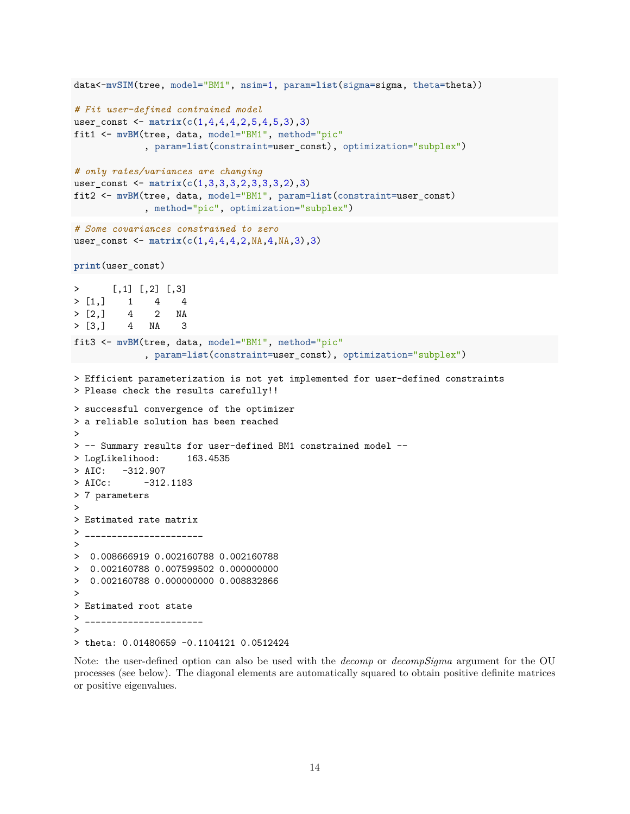```
data<-mvSIM(tree, model="BM1", nsim=1, param=list(sigma=sigma, theta=theta))
# Fit user-defined contrained model
user const \leq matrix(c(1,4,4,4,4,2,5,4,5,3),3)fit1 <- mvBM(tree, data, model="BM1", method="pic"
             , param=list(constraint=user_const), optimization="subplex")
# only rates/variances are changing
user_const <- matrix(c(1,3,3,3,2,3,3,3,2),3)
fit2 <- mvBM(tree, data, model="BM1", param=list(constraint=user_const)
             , method="pic", optimization="subplex")
# Some covariances constrained to zero
user_const <- matrix(c(1,4,4,4,2,NA,4,NA,3),3)
print(user_const)
> [,1] [,2] [,3]
> [1,] 1 4 4
> [2,] 4 2 NA
> [3,] 4 NA 3
fit3 <- mvBM(tree, data, model="BM1", method="pic"
             , param=list(constraint=user_const), optimization="subplex")
> Efficient parameterization is not yet implemented for user-defined constraints
> Please check the results carefully!!
> successful convergence of the optimizer
> a reliable solution has been reached
>
> -- Summary results for user-defined BM1 constrained model --
> LogLikelihood: 163.4535
> AIC: -312.907> AICc: -312.1183> 7 parameters
>
> Estimated rate matrix
> _______________________
>
> 0.008666919 0.002160788 0.002160788
> 0.002160788 0.007599502 0.000000000
> 0.002160788 0.000000000 0.008832866
>
> Estimated root state
> ________________________
>
> theta: 0.01480659 -0.1104121 0.0512424
```
Note: the user-defined option can also be used with the *decomp* or *decompSigma* argument for the OU processes (see below). The diagonal elements are automatically squared to obtain positive definite matrices or positive eigenvalues.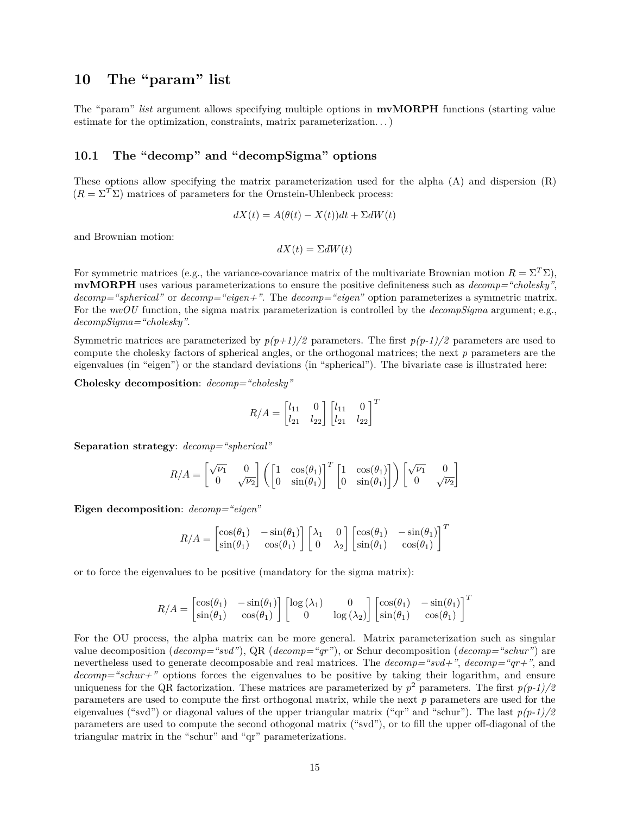### <span id="page-14-0"></span>**10 The "param" list**

The "param" *list* argument allows specifying multiple options in **mvMORPH** functions (starting value estimate for the optimization, constraints, matrix parameterization. . . )

#### <span id="page-14-1"></span>**10.1 The "decomp" and "decompSigma" options**

These options allow specifying the matrix parameterization used for the alpha (A) and dispersion (R)  $(R = \Sigma^T \Sigma)$  matrices of parameters for the Ornstein-Uhlenbeck process:

$$
dX(t) = A(\theta(t) - X(t))dt + \Sigma dW(t)
$$

and Brownian motion:

 $dX(t) = \Sigma dW(t)$ 

For symmetric matrices (e.g., the variance-covariance matrix of the multivariate Brownian motion  $R = \Sigma^T \Sigma$ ), **mvMORPH** uses various parameterizations to ensure the positive definiteness such as *decomp="cholesky"*, *decomp="spherical"* or *decomp="eigen+"*. The *decomp="eigen"* option parameterizes a symmetric matrix. For the  $mvOU$  function, the sigma matrix parameterization is controlled by the *decompSigma* argument; e.g., *decompSigma="cholesky"*.

Symmetric matrices are parameterized by  $p(p+1)/2$  parameters. The first  $p(p-1)/2$  parameters are used to compute the cholesky factors of spherical angles, or the orthogonal matrices; the next *p* parameters are the eigenvalues (in "eigen") or the standard deviations (in "spherical"). The bivariate case is illustrated here:

**Cholesky decomposition**: *decomp="cholesky"*

$$
R/A = \begin{bmatrix} l_{11} & 0 \\ l_{21} & l_{22} \end{bmatrix} \begin{bmatrix} l_{11} & 0 \\ l_{21} & l_{22} \end{bmatrix}^T
$$

**Separation strategy**: *decomp="spherical"*

$$
R/A = \begin{bmatrix} \sqrt{\nu_1} & 0 \\ 0 & \sqrt{\nu_2} \end{bmatrix} \left( \begin{bmatrix} 1 & \cos(\theta_1) \\ 0 & \sin(\theta_1) \end{bmatrix}^T \begin{bmatrix} 1 & \cos(\theta_1) \\ 0 & \sin(\theta_1) \end{bmatrix} \right) \begin{bmatrix} \sqrt{\nu_1} & 0 \\ 0 & \sqrt{\nu_2} \end{bmatrix}
$$

**Eigen decomposition**: *decomp="eigen"*

$$
R/A = \begin{bmatrix} \cos(\theta_1) & -\sin(\theta_1) \\ \sin(\theta_1) & \cos(\theta_1) \end{bmatrix} \begin{bmatrix} \lambda_1 & 0 \\ 0 & \lambda_2 \end{bmatrix} \begin{bmatrix} \cos(\theta_1) & -\sin(\theta_1) \\ \sin(\theta_1) & \cos(\theta_1) \end{bmatrix}^T
$$

or to force the eigenvalues to be positive (mandatory for the sigma matrix):

$$
R/A = \begin{bmatrix} \cos(\theta_1) & -\sin(\theta_1) \\ \sin(\theta_1) & \cos(\theta_1) \end{bmatrix} \begin{bmatrix} \log(\lambda_1) & 0 \\ 0 & \log(\lambda_2) \end{bmatrix} \begin{bmatrix} \cos(\theta_1) & -\sin(\theta_1) \\ \sin(\theta_1) & \cos(\theta_1) \end{bmatrix}^T
$$

For the OU process, the alpha matrix can be more general. Matrix parameterization such as singular value decomposition (*decomp="svd"*), QR (*decomp="qr"*), or Schur decomposition (*decomp="schur"*) are nevertheless used to generate decomposable and real matrices. The *decomp="svd+"*, *decomp="qr+"*, and *decomp="schur+"* options forces the eigenvalues to be positive by taking their logarithm, and ensure uniqueness for the QR factorization. These matrices are parameterized by  $p^2$  parameters. The first  $p(p-1)/2$ parameters are used to compute the first orthogonal matrix, while the next *p* parameters are used for the eigenvalues ("svd") or diagonal values of the upper triangular matrix ("qr" and "schur"). The last *p(p-1)/2* parameters are used to compute the second othogonal matrix ("svd"), or to fill the upper off-diagonal of the triangular matrix in the "schur" and "qr" parameterizations.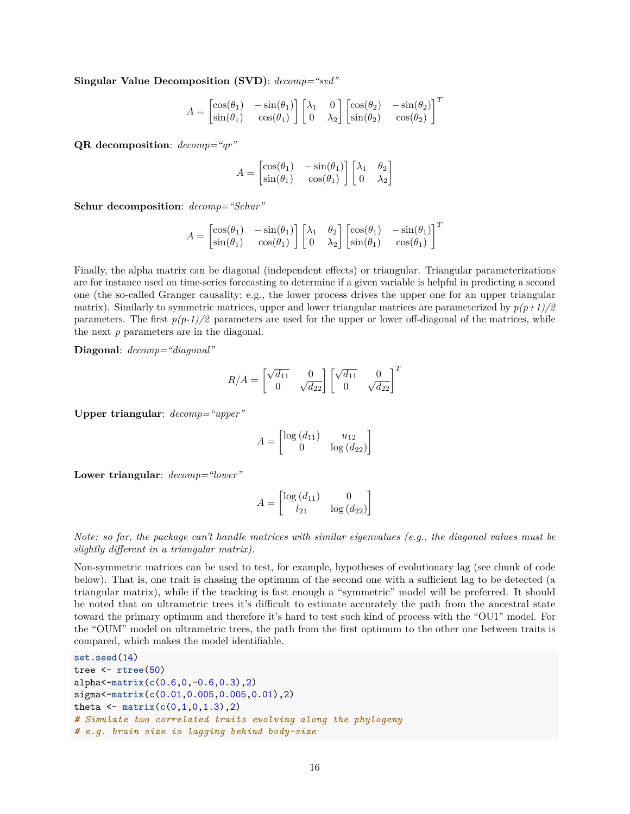**Singular Value Decomposition (SVD)**: *decomp="svd"*

$$
A = \begin{bmatrix} \cos(\theta_1) & -\sin(\theta_1) \\ \sin(\theta_1) & \cos(\theta_1) \end{bmatrix} \begin{bmatrix} \lambda_1 & 0 \\ 0 & \lambda_2 \end{bmatrix} \begin{bmatrix} \cos(\theta_2) & -\sin(\theta_2) \\ \sin(\theta_2) & \cos(\theta_2) \end{bmatrix}^T
$$

**QR decomposition**: *decomp="qr"*

$$
A = \begin{bmatrix} \cos(\theta_1) & -\sin(\theta_1) \\ \sin(\theta_1) & \cos(\theta_1) \end{bmatrix} \begin{bmatrix} \lambda_1 & \theta_2 \\ 0 & \lambda_2 \end{bmatrix}
$$

**Schur decomposition**: *decomp="Schur"*

$$
A = \begin{bmatrix} \cos(\theta_1) & -\sin(\theta_1) \\ \sin(\theta_1) & \cos(\theta_1) \end{bmatrix} \begin{bmatrix} \lambda_1 & \theta_2 \\ 0 & \lambda_2 \end{bmatrix} \begin{bmatrix} \cos(\theta_1) & -\sin(\theta_1) \\ \sin(\theta_1) & \cos(\theta_1) \end{bmatrix}^T
$$

Finally, the alpha matrix can be diagonal (independent effects) or triangular. Triangular parameterizations are for instance used on time-series forecasting to determine if a given variable is helpful in predicting a second one (the so-called Granger causality; e.g., the lower process drives the upper one for an upper triangular matrix). Similarly to symmetric matrices, upper and lower triangular matrices are parameterized by  $p(p+1)/2$ parameters. The first  $p(p-1)/2$  parameters are used for the upper or lower off-diagonal of the matrices, while the next *p* parameters are in the diagonal.

**Diagonal**: *decomp="diagonal"*

$$
R/A = \begin{bmatrix} \sqrt{d_{11}} & 0 \\ 0 & \sqrt{d_{22}} \end{bmatrix} \begin{bmatrix} \sqrt{d_{11}} & 0 \\ 0 & \sqrt{d_{22}} \end{bmatrix}^T
$$

**Upper triangular**: *decomp="upper"*

$$
A = \begin{bmatrix} \log\left(d_{11}\right) & u_{12} \\ 0 & \log\left(d_{22}\right) \end{bmatrix}
$$

**Lower triangular**: *decomp="lower"*

$$
A = \begin{bmatrix} \log\left(d_{11}\right) & 0\\ l_{21} & \log\left(d_{22}\right) \end{bmatrix}
$$

*Note: so far, the package can't handle matrices with similar eigenvalues (e.g., the diagonal values must be slightly different in a triangular matrix).*

Non-symmetric matrices can be used to test, for example, hypotheses of evolutionary lag (see chunk of code below). That is, one trait is chasing the optimum of the second one with a sufficient lag to be detected (a triangular matrix), while if the tracking is fast enough a "symmetric" model will be preferred. It should be noted that on ultrametric trees it's difficult to estimate accurately the path from the ancestral state toward the primary optimum and therefore it's hard to test such kind of process with the "OU1" model. For the "OUM" model on ultrametric trees, the path from the first optimum to the other one between traits is compared, which makes the model identifiable.

```
set.seed(14)
tree <- rtree(50)
alpha<-matrix(c(0.6,0,-0.6,0.3),2)
sigma<-matrix(c(0.01,0.005,0.005,0.01),2)
theta <- matrix(c(0,1,0,1.3),2)
# Simulate two correlated traits evolving along the phylogeny
# e.g. brain size is lagging behind body-size
```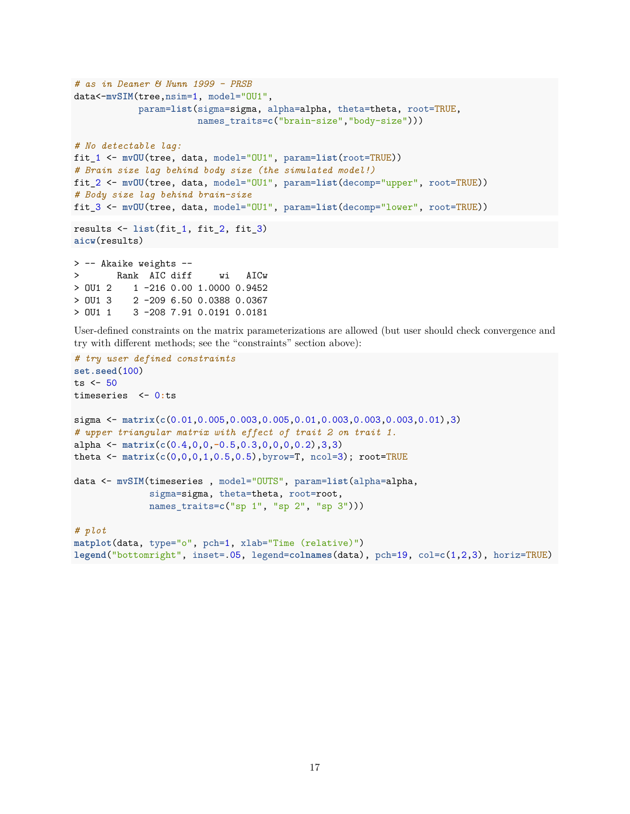```
# as in Deaner & Nunn 1999 - PRSB
data<-mvSIM(tree,nsim=1, model="0U1",
            param=list(sigma=sigma, alpha=alpha, theta=theta, root=TRUE,
                       names traits=c("brain-size","body-size")))
# No detectable lag:
fit_1 <- mvOU(tree, data, model="OU1", param=list(root=TRUE))
# Brain size lag behind body size (the simulated model!)
fit_2 <- mvOU(tree, data, model="OU1", param=list(decomp="upper", root=TRUE))
# Body size lag behind brain-size
fit_3 <- mvOU(tree, data, model="OU1", param=list(decomp="lower", root=TRUE))
results <- list(fit_1, fit_2, fit_3)
aicw(results)
> -- Akaike weights --
```
> Rank AIC diff wi AICw > OU1 2 1 -216 0.00 1.0000 0.9452 > OU1 3 2 -209 6.50 0.0388 0.0367 > OU1 1 3 -208 7.91 0.0191 0.0181

User-defined constraints on the matrix parameterizations are allowed (but user should check convergence and try with different methods; see the "constraints" section above):

```
# try user defined constraints
set.seed(100)
ts < -50timeseries <- 0:ts
sigma <- matrix(c(0.01,0.005,0.003,0.005,0.01,0.003,0.003,0.003,0.01),3)
# upper triangular matrix with effect of trait 2 on trait 1.
alpha <- matrix(c(0.4,0,0,-0.5,0.3,0,0,0,0.2),3,3)
theta <- matrix(c(0,0,0,1,0.5,0.5),byrow=T, ncol=3); root=TRUE
data <- mvSIM(timeseries , model="OUTS", param=list(alpha=alpha,
              sigma=sigma, theta=theta, root=root,
              names_traits=c("sp 1", "sp 2", "sp 3")))
# plot
matplot(data, type="o", pch=1, xlab="Time (relative)")
legend("bottomright", inset=.05, legend=colnames(data), pch=19, col=c(1,2,3), horiz=TRUE)
```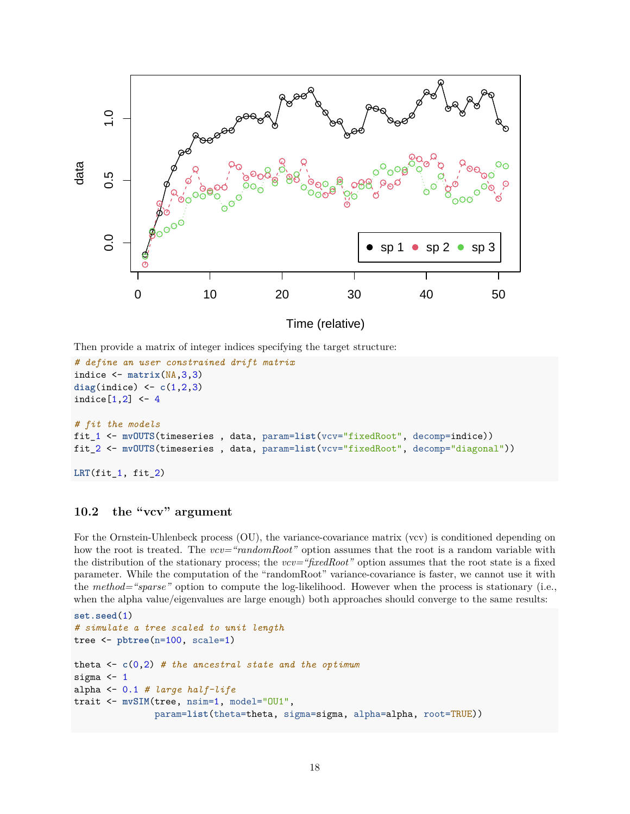

Time (relative)

Then provide a matrix of integer indices specifying the target structure:

```
# define an user constrained drift matrix
indice <- matrix(NA,3,3)
diag(indice) <- c(1,2,3)
indice[1,2] <- 4
# fit the models
fit_1 <- mvOUTS(timeseries , data, param=list(vcv="fixedRoot", decomp=indice))
fit_2 <- mvOUTS(timeseries , data, param=list(vcv="fixedRoot", decomp="diagonal"))
```
**LRT**(fit\_1, fit\_2)

#### <span id="page-17-0"></span>**10.2 the "vcv" argument**

For the Ornstein-Uhlenbeck process (OU), the variance-covariance matrix (vcv) is conditioned depending on how the root is treated. The  $vcv=\text{TrandomRoot}$  option assumes that the root is a random variable with the distribution of the stationary process; the *vcv="fixedRoot"* option assumes that the root state is a fixed parameter. While the computation of the "randomRoot" variance-covariance is faster, we cannot use it with the *method="sparse"* option to compute the log-likelihood. However when the process is stationary (i.e., when the alpha value/eigenvalues are large enough) both approaches should converge to the same results:

```
set.seed(1)
# simulate a tree scaled to unit length
tree <- pbtree(n=100, scale=1)
theta <- c(0,2) # the ancestral state and the optimum
sigma <-1alpha <- 0.1 # large half-life
trait <- mvSIM(tree, nsim=1, model="OU1",
              param=list(theta=theta, sigma=sigma, alpha=alpha, root=TRUE))
```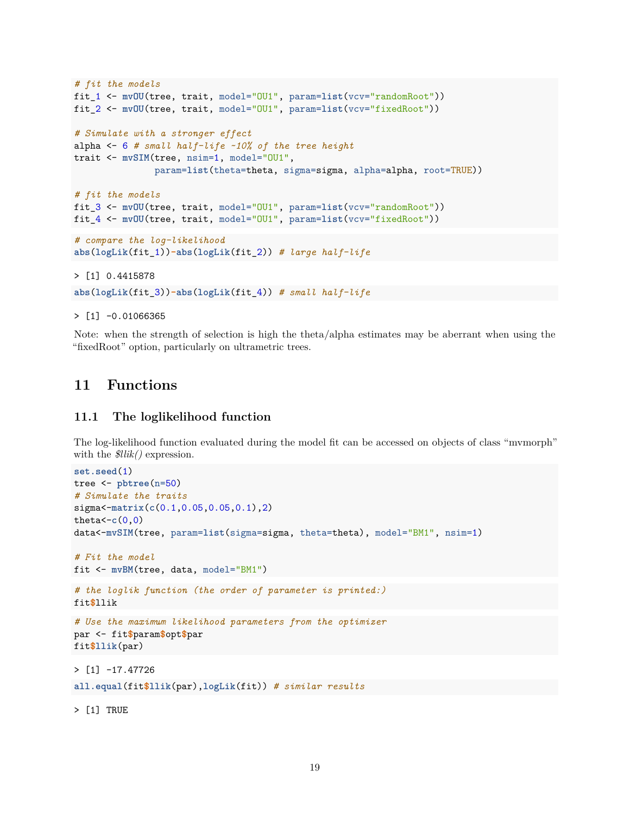```
# fit the models
fit_1 <- mvOU(tree, trait, model="OU1", param=list(vcv="randomRoot"))
fit_2 <- mvOU(tree, trait, model="OU1", param=list(vcv="fixedRoot"))
# Simulate with a stronger effect
alpha <- 6 # small half-life ~10% of the tree height
trait <- mvSIM(tree, nsim=1, model="OU1",
              param=list(theta=theta, sigma=sigma, alpha=alpha, root=TRUE))
# fit the models
fit_3 <- mvOU(tree, trait, model="OU1", param=list(vcv="randomRoot"))
fit_4 <- mvOU(tree, trait, model="OU1", param=list(vcv="fixedRoot"))
# compare the log-likelihood
abs(logLik(fit_1))-abs(logLik(fit_2)) # large half-life
> [1] 0.4415878
```
**abs**(**logLik**(fit\_3))**-abs**(**logLik**(fit\_4)) *# small half-life*

 $> [1] -0.01066365$ 

Note: when the strength of selection is high the theta/alpha estimates may be aberrant when using the "fixedRoot" option, particularly on ultrametric trees.

### <span id="page-18-0"></span>**11 Functions**

#### <span id="page-18-1"></span>**11.1 The loglikelihood function**

The log-likelihood function evaluated during the model fit can be accessed on objects of class "mvmorph" with the *\$llik()* expression.

```
set.seed(1)
tree <- pbtree(n=50)
# Simulate the traits
sigma<-matrix(c(0.1,0.05,0.05,0.1),2)
theta<-c(0,0)
data<-mvSIM(tree, param=list(sigma=sigma, theta=theta), model="BM1", nsim=1)
# Fit the model
fit <- mvBM(tree, data, model="BM1")
# the loglik function (the order of parameter is printed:)
fit$llik
# Use the maximum likelihood parameters from the optimizer
par <- fit$param$opt$par
fit$llik(par)
> [1] -17.47726
all.equal(fit$llik(par),logLik(fit)) # similar results
```
> [1] TRUE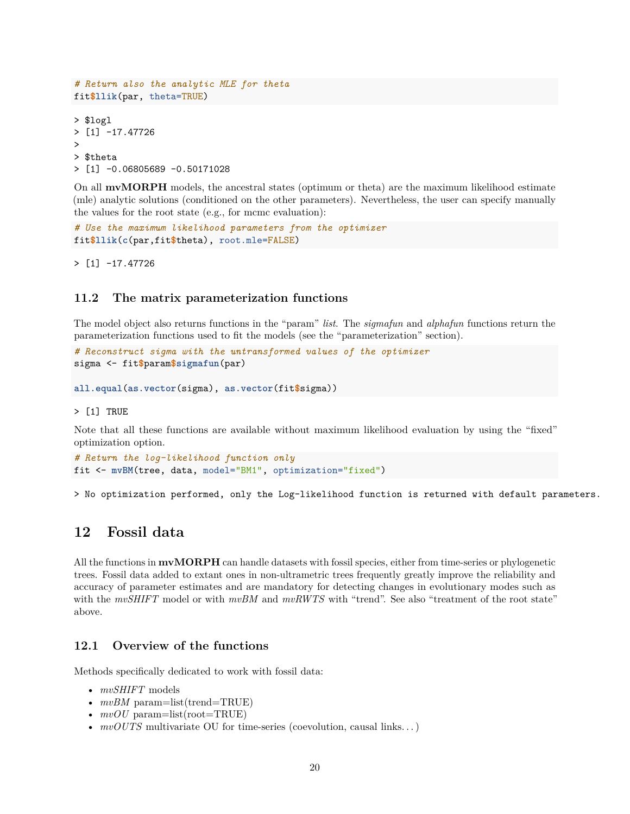```
# Return also the analytic MLE for theta
fit$llik(par, theta=TRUE)
> $logl
> [1] -17.47726
>
> $theta
> [1] -0.06805689 -0.50171028
```
On all **mvMORPH** models, the ancestral states (optimum or theta) are the maximum likelihood estimate (mle) analytic solutions (conditioned on the other parameters). Nevertheless, the user can specify manually the values for the root state (e.g., for mcmc evaluation):

```
# Use the maximum likelihood parameters from the optimizer
fit$llik(c(par,fit$theta), root.mle=FALSE)
```
 $>$  [1]  $-17.47726$ 

#### <span id="page-19-0"></span>**11.2 The matrix parameterization functions**

The model object also returns functions in the "param" *list*. The *sigmafun* and *alphafun* functions return the parameterization functions used to fit the models (see the "parameterization" section).

*# Reconstruct sigma with the untransformed values of the optimizer* sigma <- fit**\$**param**\$sigmafun**(par)

**all.equal**(**as.vector**(sigma), **as.vector**(fit**\$**sigma))

> [1] TRUE

Note that all these functions are available without maximum likelihood evaluation by using the "fixed" optimization option.

```
# Return the log-likelihood function only
fit <- mvBM(tree, data, model="BM1", optimization="fixed")
```
> No optimization performed, only the Log-likelihood function is returned with default parameters.

### <span id="page-19-1"></span>**12 Fossil data**

All the functions in **mvMORPH** can handle datasets with fossil species, either from time-series or phylogenetic trees. Fossil data added to extant ones in non-ultrametric trees frequently greatly improve the reliability and accuracy of parameter estimates and are mandatory for detecting changes in evolutionary modes such as with the *mvSHIFT* model or with  $mvBM$  and  $mvRWTS$  with "trend". See also "treatment of the root state" above.

#### <span id="page-19-2"></span>**12.1 Overview of the functions**

Methods specifically dedicated to work with fossil data:

- *mvSHIFT* models
- $mvBM$  param=list(trend=TRUE)
- $mvOU$  param=list(root=TRUE)
- *mvOUTS* multivariate OU for time-series (coevolution, causal links...)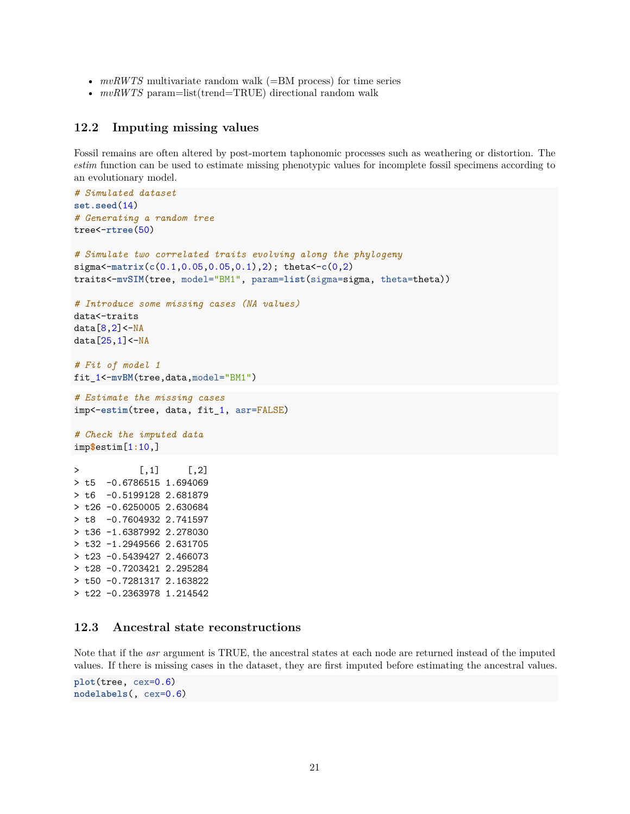- *mvRWTS* multivariate random walk (=BM process) for time series
- $mvRWTS$  param=list(trend=TRUE) directional random walk

#### <span id="page-20-0"></span>**12.2 Imputing missing values**

Fossil remains are often altered by post-mortem taphonomic processes such as weathering or distortion. The *estim* function can be used to estimate missing phenotypic values for incomplete fossil specimens according to an evolutionary model.

```
# Simulated dataset
set.seed(14)
# Generating a random tree
tree<-rtree(50)
# Simulate two correlated traits evolving along the phylogeny
sigma<-matrix(c(0.1,0.05,0.05,0.1),2); theta<-c(0,2)
traits<-mvSIM(tree, model="BM1", param=list(sigma=sigma, theta=theta))
# Introduce some missing cases (NA values)
data<-traits
data[8,2]<-NA
data[25,1]<-NA
# Fit of model 1
fit_1<-mvBM(tree,data,model="BM1")
# Estimate the missing cases
imp<-estim(tree, data, fit_1, asr=FALSE)
# Check the imputed data
imp$estim[1:10,]
> [1,1] [1,2]> t5 -0.6786515 1.694069
> t6 -0.5199128 2.681879
> t26 -0.6250005 2.630684
> t8 -0.7604932 2.741597
> t36 -1.6387992 2.278030
> t32 -1.2949566 2.631705
> t23 -0.5439427 2.466073
> t28 -0.7203421 2.295284
> t50 -0.7281317 2.163822
```
> t22 -0.2363978 1.214542

#### <span id="page-20-1"></span>**12.3 Ancestral state reconstructions**

Note that if the *asr* argument is TRUE, the ancestral states at each node are returned instead of the imputed values. If there is missing cases in the dataset, they are first imputed before estimating the ancestral values.

```
plot(tree, cex=0.6)
nodelabels(, cex=0.6)
```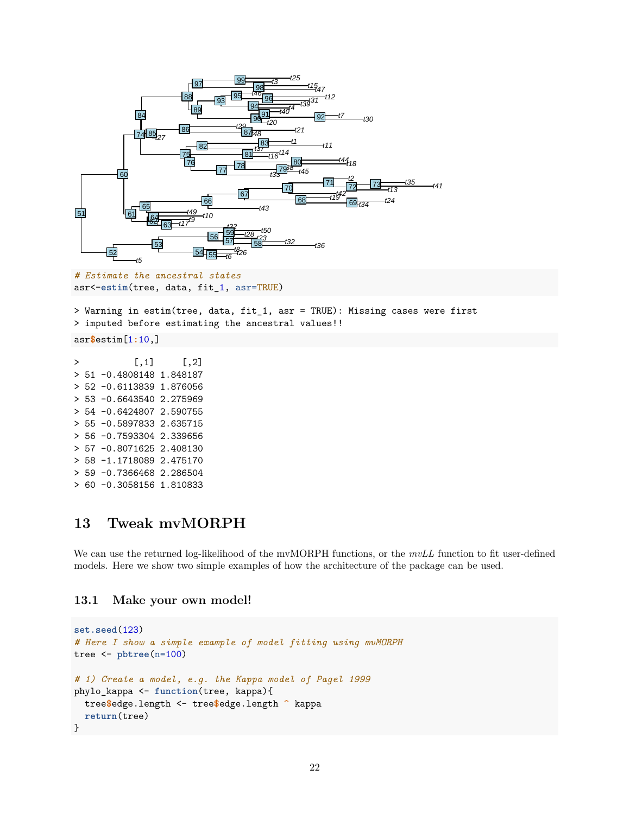

*# Estimate the ancestral states* asr<-**estim**(tree, data, fit\_1, asr=TRUE)

> Warning in estim(tree, data, fit\_1, asr = TRUE): Missing cases were first > imputed before estimating the ancestral values!!

asr**\$**estim[1**:**10,]

 $> [1,1] [1,2]$ > 51 -0.4808148 1.848187 > 52 -0.6113839 1.876056 > 53 -0.6643540 2.275969 > 54 -0.6424807 2.590755 > 55 -0.5897833 2.635715 > 56 -0.7593304 2.339656 > 57 -0.8071625 2.408130 > 58 -1.1718089 2.475170 > 59 -0.7366468 2.286504 > 60 -0.3058156 1.810833

### <span id="page-21-0"></span>**13 Tweak mvMORPH**

We can use the returned log-likelihood of the mvMORPH functions, or the *mvLL* function to fit user-defined models. Here we show two simple examples of how the architecture of the package can be used.

### <span id="page-21-1"></span>**13.1 Make your own model!**

```
set.seed(123)
# Here I show a simple example of model fitting using mvMORPH
tree <- pbtree(n=100)
# 1) Create a model, e.g. the Kappa model of Pagel 1999
phylo_kappa <- function(tree, kappa){
  tree$edge.length <- tree$edge.length ^ kappa
  return(tree)
}
```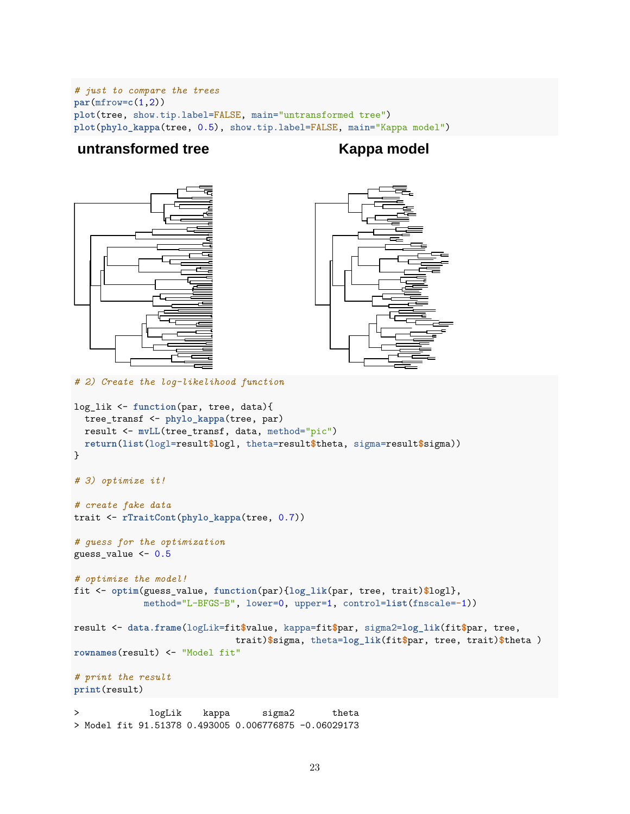*# just to compare the trees* **par**(mfrow=**c**(1,2)) **plot**(tree, show.tip.label=FALSE, main="untransformed tree") **plot**(**phylo\_kappa**(tree, 0.5), show.tip.label=FALSE, main="Kappa model")

### **untransformed tree Kappa model**





*# 2) Create the log-likelihood function*

```
log_lik <- function(par, tree, data){
 tree_transf <- phylo_kappa(tree, par)
 result <- mvLL(tree_transf, data, method="pic")
 return(list(logl=result$logl, theta=result$theta, sigma=result$sigma))
}
# 3) optimize it!
# create fake data
trait <- rTraitCont(phylo_kappa(tree, 0.7))
# guess for the optimization
guess_value <- 0.5
# optimize the model!
fit <- optim(guess_value, function(par){log_lik(par, tree, trait)$logl},
             method="L-BFGS-B", lower=0, upper=1, control=list(fnscale=-1))
result <- data.frame(logLik=fit$value, kappa=fit$par, sigma2=log_lik(fit$par, tree,
                              trait)$sigma, theta=log_lik(fit$par, tree, trait)$theta )
rownames(result) <- "Model fit"
# print the result
print(result)
```
> logLik kappa sigma2 theta > Model fit 91.51378 0.493005 0.006776875 -0.06029173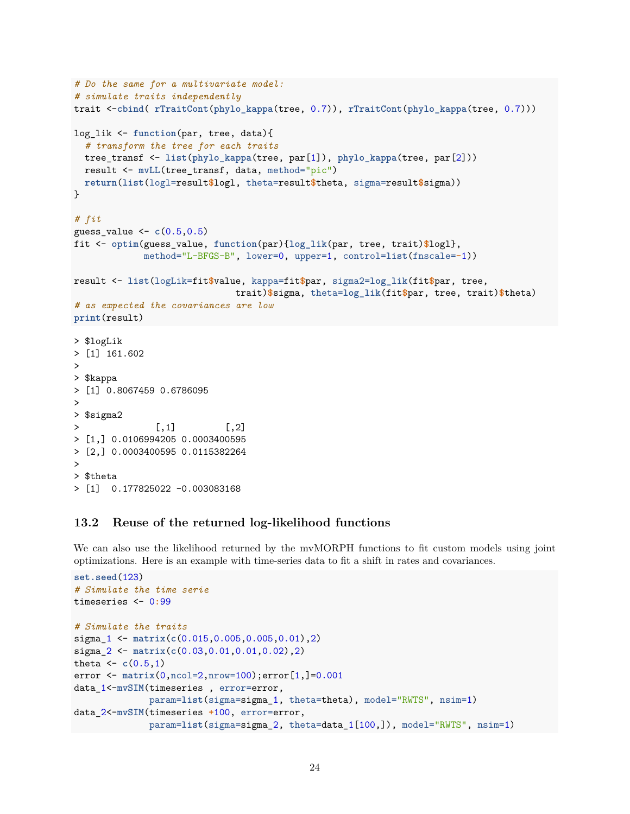```
# Do the same for a multivariate model:
# simulate traits independently
trait <-cbind( rTraitCont(phylo_kappa(tree, 0.7)), rTraitCont(phylo_kappa(tree, 0.7)))
log_lik <- function(par, tree, data){
  # transform the tree for each traits
  tree_transf <- list(phylo_kappa(tree, par[1]), phylo_kappa(tree, par[2]))
 result <- mvLL(tree_transf, data, method="pic")
  return(list(logl=result$logl, theta=result$theta, sigma=result$sigma))
}
# fit
guess_value <- c(0.5,0.5)
fit <- optim(guess_value, function(par){log_lik(par, tree, trait)$logl},
             method="L-BFGS-B", lower=0, upper=1, control=list(fnscale=-1))
result <- list(logLik=fit$value, kappa=fit$par, sigma2=log_lik(fit$par, tree,
                              trait)$sigma, theta=log_lik(fit$par, tree, trait)$theta)
# as expected the covariances are low
print(result)
> $logLik
> [1] 161.602
>
> $kappa
> [1] 0.8067459 0.6786095
>
> $sigma2
> [ ,1] [ ,2]> [1,] 0.0106994205 0.0003400595
> [2,] 0.0003400595 0.0115382264
\rightarrow> $theta
> [1] 0.177825022 -0.003083168
```
#### <span id="page-23-0"></span>**13.2 Reuse of the returned log-likelihood functions**

We can also use the likelihood returned by the mvMORPH functions to fit custom models using joint optimizations. Here is an example with time-series data to fit a shift in rates and covariances.

```
set.seed(123)
# Simulate the time serie
timeseries <- 0:99
# Simulate the traits
sigma_1 <- matrix(c(0.015,0.005,0.005,0.01),2)
sigma_2 <- matrix(c(0.03,0.01,0.01,0.02),2)
theta \leftarrow c(0.5,1)error <- matrix(0,ncol=2,nrow=100);error[1,]=0.001
data_1<-mvSIM(timeseries , error=error,
              param=list(sigma=sigma_1, theta=theta), model="RWTS", nsim=1)
data_2<-mvSIM(timeseries +100, error=error,
              param=list(sigma=sigma_2, theta=data_1[100,]), model="RWTS", nsim=1)
```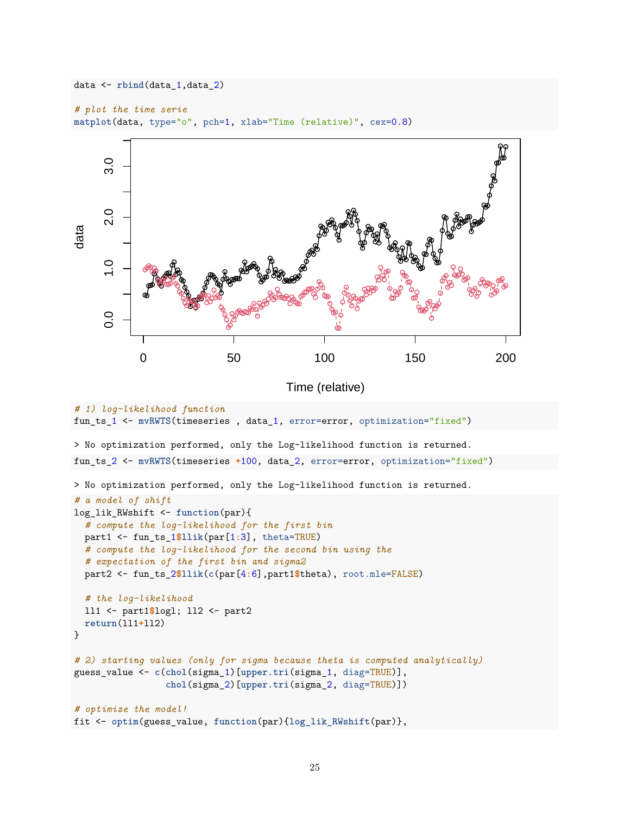```
data <- rbind(data_1,data_2)
```

```
# plot the time serie
matplot(data, type="o", pch=1, xlab="Time (relative)", cex=0.8)
```
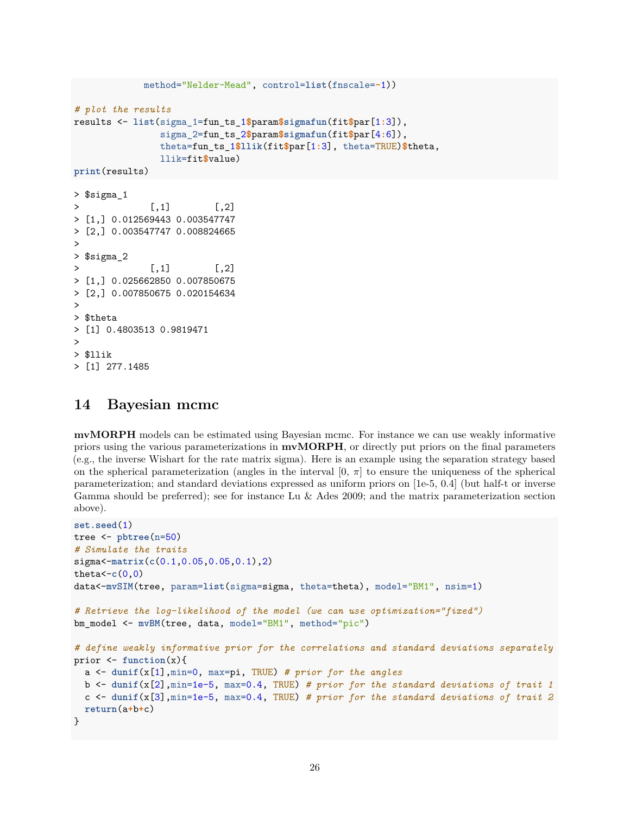```
method="Nelder-Mead", control=list(fnscale=-1))
# plot the results
results <- list(sigma_1=fun_ts_1$param$sigmafun(fit$par[1:3]),
               sigma_2=fun_ts_2$param$sigmafun(fit$par[4:6]),
               theta=fun_ts_1$llik(fit$par[1:3], theta=TRUE)$theta,
               llik=fit$value)
print(results)
> $sigma_1
> [,1] [,2]
> [1,] 0.012569443 0.003547747
> [2,] 0.003547747 0.008824665
>
> $sigma_2
> [,1] [,2]
> [1,] 0.025662850 0.007850675
> [2,] 0.007850675 0.020154634
>
> $theta
> [1] 0.4803513 0.9819471
>
> $llik
> [1] 277.1485
```
#### <span id="page-25-0"></span>**14 Bayesian mcmc**

**mvMORPH** models can be estimated using Bayesian mcmc. For instance we can use weakly informative priors using the various parameterizations in **mvMORPH**, or directly put priors on the final parameters (e.g., the inverse Wishart for the rate matrix sigma). Here is an example using the separation strategy based on the spherical parameterization (angles in the interval  $[0, \pi]$  to ensure the uniqueness of the spherical parameterization; and standard deviations expressed as uniform priors on [1e-5, 0.4] (but half-t or inverse Gamma should be preferred); see for instance Lu & Ades 2009; and the matrix parameterization section above).

```
set.seed(1)
tree <- pbtree(n=50)
# Simulate the traits
sigma<-matrix(c(0.1,0.05,0.05,0.1),2)
theta< -c(0,0)data<-mvSIM(tree, param=list(sigma=sigma, theta=theta), model="BM1", nsim=1)
# Retrieve the log-likelihood of the model (we can use optimization="fixed")
bm_model <- mvBM(tree, data, model="BM1", method="pic")
# define weakly informative prior for the correlations and standard deviations separately
prior <- function(x){
  a <- dunif(x[1],min=0, max=pi, TRUE) # prior for the angles
  b <- dunif(x[2],min=1e-5, max=0.4, TRUE) # prior for the standard deviations of trait 1
  c <- dunif(x[3],min=1e-5, max=0.4, TRUE) # prior for the standard deviations of trait 2
  return(a+b+c)
}
```